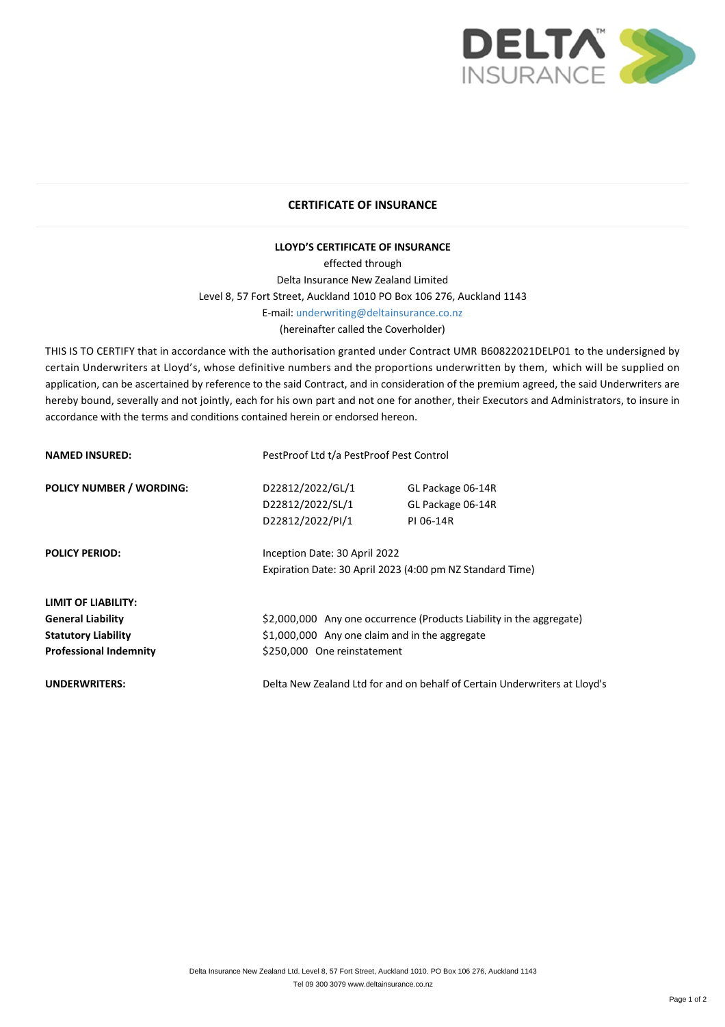

## **CERTIFICATE OF INSURANCE**

## **LLOYD'S CERTIFICATE OF INSURANCE**

effected through Delta Insurance New Zealand Limited Level 8, 57 Fort Street, Auckland 1010 PO Box 106 276, Auckland 1143 E‐mail: [underwriting@deltainsurance.co.nz](smtp://underwriting@deltainsurance.co.nz) (hereinafter called the Coverholder)

THIS IS TO CERTIFY that in accordance with the authorisation granted under Contract UMR B60822021DELP01 to the undersigned by certain Underwriters at Lloyd's, whose definitive numbers and the proportions underwritten by them, which will be supplied on application, can be ascertained by reference to the said Contract, and in consideration of the premium agreed, the said Underwriters are hereby bound, severally and not jointly, each for his own part and not one for another, their Executors and Administrators, to insure in accordance with the terms and conditions contained herein or endorsed hereon.

| <b>NAMED INSURED:</b>           | PestProof Ltd t/a PestProof Pest Control                                   |                   |
|---------------------------------|----------------------------------------------------------------------------|-------------------|
| <b>POLICY NUMBER / WORDING:</b> | D22812/2022/GL/1                                                           | GL Package 06-14R |
|                                 | D22812/2022/SL/1                                                           | GL Package 06-14R |
|                                 | D22812/2022/PI/1                                                           | PI 06-14R         |
| <b>POLICY PERIOD:</b>           | Inception Date: 30 April 2022                                              |                   |
|                                 | Expiration Date: 30 April 2023 (4:00 pm NZ Standard Time)                  |                   |
| <b>LIMIT OF LIABILITY:</b>      |                                                                            |                   |
| <b>General Liability</b>        | \$2,000,000 Any one occurrence (Products Liability in the aggregate)       |                   |
| <b>Statutory Liability</b>      | \$1,000,000 Any one claim and in the aggregate                             |                   |
| <b>Professional Indemnity</b>   | \$250,000 One reinstatement                                                |                   |
| <b>UNDERWRITERS:</b>            | Delta New Zealand Ltd for and on behalf of Certain Underwriters at Lloyd's |                   |